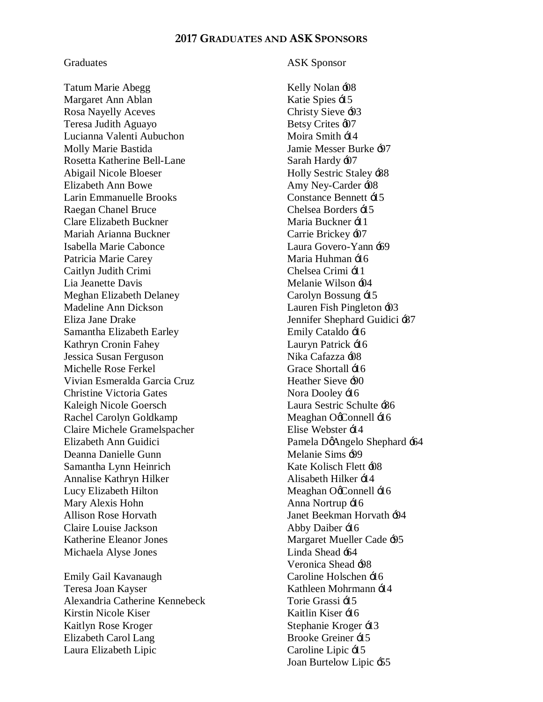## **2017 GRADUATES AND ASK SPONSORS**

Tatum Marie Abegg Kelly Nolan +08 Margaret Ann Ablan Katie Spies  $\pm 15$ Rosa Nayelly Aceves Christy Sieve  $-93$ Teresa Judith Aguayo Betsy Crites  $\omega$ Lucianna Valenti Aubuchon Moira Smith  $\pm 14$ Molly Marie Bastida Jamie Messer Burke '97 Rosetta Katherine Bell-Lane Sarah Hardy 407 Abigail Nicole Bloeser Holly Sestric Staley  $\div 88$ Elizabeth Ann Bowe Amy Ney-Carder  $\div$ Larin Emmanuelle Brooks Constance Bennett  $\pm 15$ Raegan Chanel Bruce Chelsea Borders  $\pm 15$ Clare Elizabeth Buckner Maria Buckner + 1 Mariah Arianna Buckner Carrie Brickey -07 Isabella Marie Cabonce Laura Govero-Yann '69 Patricia Marie Carey Maria Huhman  $\pm 16$ Caitlyn Judith Crimi (Chelsea Crimi  $\pm 11$ ) Lia Jeanette Davis Melanie Wilson +04 Meghan Elizabeth Delaney Carolyn Bossung  $\pm 15$ Madeline Ann Dickson Lauren Fish Pingleton '03 Eliza Jane Drake Jennifer Shephard Guidici -87 Samantha Elizabeth Earley Emily Cataldo  $\pm 16$ Kathryn Cronin Fahey Lauryn Patrick  $\pm 16$ Jessica Susan Ferguson Nika Cafazza +08 Michelle Rose Ferkel Grace Shortall  $\pm 16$ Vivian Esmeralda Garcia Cruz **Heather Sieve -90** Christine Victoria Gates Nora Dooley  $\pm 16$ Kaleigh Nicole Goersch Laura Sestric Schulte  $-86$ Rachel Carolyn Goldkamp Meaghan Octonnell  $\pm 16$ Claire Michele Gramelspacher **Elise Webster**  $\pm 14$ Deanna Danielle Gunn Melanie Sims -99 Samantha Lynn Heinrich Kate Kolisch Flett +08 Annalise Kathryn Hilker **Alisabeth Hilker**  $\div$  44 Lucy Elizabeth Hilton Meaghan Octonnell  $\pm 16$ Mary Alexis Hohn Anna Nortrup  $\pm 16$ Allison Rose Horvath **International State Seekman Horvath**  $-94$ Claire Louise Jackson Abby Daiber  $\pm 16$ Katherine Eleanor Jones Margaret Mueller Cade -95 Michaela Alyse Jones Linda Shead  $\pm 64$ 

Teresa Joan Kayser Kathleen Mohrmann  $\pm 14$ Alexandria Catherine Kennebeck Torie Grassi  $\pm 15$ Kirstin Nicole Kiser **Kaitlin Kiser** +16 Kaitlyn Rose Kroger Stephanie Kroger  $\pm 3$ Elizabeth Carol Lang Brooke Greiner  $\pm 15$ Laura Elizabeth Lipic  $\overline{c}$  Caroline Lipic  $\overline{c}$  15

## Graduates ASK Sponsor

Elizabeth Ann Guidici Pamela D'Angelo Shephard '64 Veronica Shead '98 Emily Gail Kavanaugh Caroline Holschen  $\pm 16$ Joan Burtelow Lipic '55